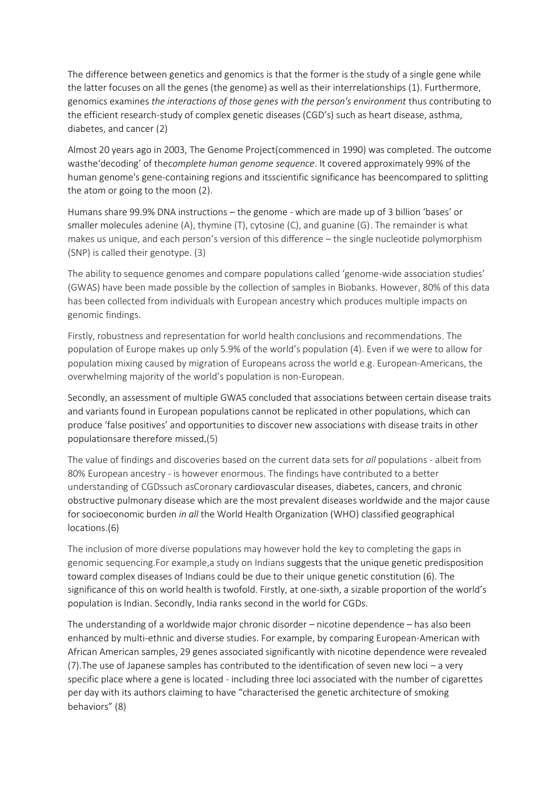The difference between genetics and genomics is that the former is the study of a single gene while the latter focuses on all the genes (the genome) as well as their interrelationships (1). Furthermore, genomics examines *the interactions of those genes with the person's environment* thus contributing to the efficient research-study of complex genetic diseases (CGD's) such as heart disease, asthma, diabetes, and cancer (2)

Almost 20 years ago in 2003, The Genome Project(commenced in 1990) was completed. The outcome wasthe'decoding' of the*complete human genome sequence*. It covered approximately 99% of the human genome's gene-containing regions and itsscientific significance has beencompared to splitting the atom or going to the moon (2).

Humans share 99.9% DNA instructions – the genome - which are made up of 3 billion 'bases' or smaller molecules adenine (A), thymine (T), cytosine (C), and guanine (G). The remainder is what makes us unique, and each person's version of this difference – the single nucleotide polymorphism (SNP) is called their genotype. (3)

The ability to sequence genomes and compare populations called 'genome-wide association studies' (GWAS) have been made possible by the collection of samples in Biobanks. However, 80% of this data has been collected from individuals with European ancestry which produces multiple impacts on genomic findings.

Firstly, robustness and representation for world health conclusions and recommendations. The population of Europe makes up only 5.9% of the world's population (4). Even if we were to allow for population mixing caused by migration of Europeans across the world e.g. European-Americans, the overwhelming majority of the world's population is non-European.

Secondly, an assessment of multiple GWAS concluded that associations between certain disease traits and variants found in European populations cannot be replicated in other populations, which can produce 'false positives' and opportunities to discover new associations with disease traits in other populationsare therefore missed.(5)

The value of findings and discoveries based on the current data sets for *all* populations - albeit from 80% European ancestry - is however enormous. The findings have contributed to a better understanding of CGDssuch asCoronary cardiovascular diseases, diabetes, cancers, and chronic obstructive pulmonary disease which are the most prevalent diseases worldwide and the major cause for socioeconomic burden *in all* the World Health Organization (WHO) classified geographical locations.(6)

The inclusion of more diverse populations may however hold the key to completing the gaps in genomic sequencing.For example,a study on Indians suggests that the unique genetic predisposition toward complex diseases of Indians could be due to their unique genetic constitution (6). The significance of this on world health is twofold. Firstly, at one-sixth, a sizable proportion of the world's population is Indian. Secondly, India ranks second in the world for CGDs.

The understanding of a worldwide major chronic disorder – nicotine dependence – has also been enhanced by multi-ethnic and diverse studies. For example, by comparing European-American with African American samples, 29 genes associated significantly with nicotine dependence were revealed (7).The use of Japanese samples has contributed to the identification of seven new loci – a very specific place where a gene is located - including three loci associated with the number of cigarettes per day with its authors claiming to have "characterised the genetic architecture of smoking behaviors" (8)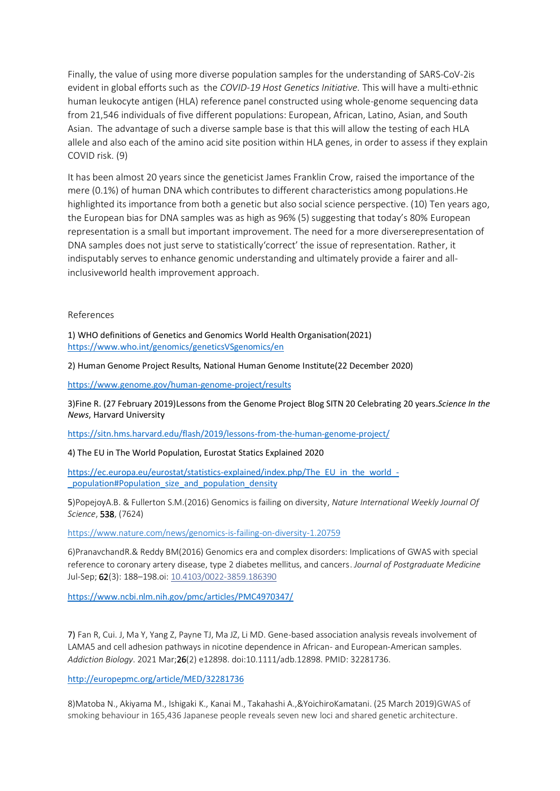Finally, the value of using more diverse population samples for the understanding of SARS-CoV-2is evident in global efforts such as the *COVID-19 Host Genetics Initiative.* This will have a multi-ethnic human leukocyte antigen (HLA) reference panel constructed using whole-genome sequencing data from 21,546 individuals of five different populations: European, African, Latino, Asian, and South Asian. The advantage of such a diverse sample base is that this will allow the testing of each HLA allele and also each of the amino acid site position within HLA genes, in order to assess if they explain COVID risk. (9)

It has been almost 20 years since the geneticist James Franklin Crow, raised the importance of the mere (0.1%) of human DNA which contributes to different characteristics among populations.He highlighted its importance from both a genetic but also social science perspective. (10) Ten years ago, the European bias for DNA samples was as high as 96% (5) suggesting that today's 80% European representation is a small but important improvement. The need for a more diverserepresentation of DNA samples does not just serve to statistically'correct' the issue of representation. Rather, it indisputably serves to enhance genomic understanding and ultimately provide a fairer and allinclusiveworld health improvement approach.

## References

1) WHO definitions of Genetics and Genomics World Health Organisation(2021) <https://www.who.int/genomics/geneticsVSgenomics/en>

2) Human Genome Project Results, National Human Genome Institute(22 December 2020)

<https://www.genome.gov/human-genome-project/results>

3)Fine R. (27 February 2019)Lessons from the Genome Project Blog SITN 20 Celebrating 20 years.*Science In the News*, Harvard University

<https://sitn.hms.harvard.edu/flash/2019/lessons-from-the-human-genome-project/>

4) The EU in The World Population, Eurostat Statics Explained 2020

[https://ec.europa.eu/eurostat/statistics-explained/index.php/The\\_EU\\_in\\_the\\_world\\_-](https://ec.europa.eu/eurostat/statistics-explained/index.php/The_EU_in_the_world_-_population#Population_size_and_population_density) [\\_population#Population\\_size\\_and\\_population\\_density](https://ec.europa.eu/eurostat/statistics-explained/index.php/The_EU_in_the_world_-_population#Population_size_and_population_density)

5)PopejoyA.B. & Fullerton S.M.(2016) Genomics is failing on diversity, *Nature International Weekly Journal Of Science*, 538, (7624)

<https://www.nature.com/news/genomics-is-failing-on-diversity-1.20759>

6)PranavchandR.& Reddy BM(2016) Genomics era and complex disorders: Implications of GWAS with special reference to coronary artery disease, type 2 diabetes mellitus, and cancers. *Journal of Postgraduate Medicine* Jul-Sep; 62(3): 188–198.oi: [10.4103/0022-3859.186390](https://dx.doi.org/10.4103%2F0022-3859.186390)

<https://www.ncbi.nlm.nih.gov/pmc/articles/PMC4970347/>

7) Fan R, Cui. J, Ma Y, Yang Z, Payne TJ, Ma JZ, Li MD. Gene-based association analysis reveals involvement of LAMA5 and cell adhesion pathways in nicotine dependence in African- and European-American samples. *Addiction Biology*. 2021 Mar;26(2) e12898. doi:10.1111/adb.12898. PMID: 32281736.

<http://europepmc.org/article/MED/32281736>

8[\)Matoba](javascript:;) N., [Akiyama](javascript:;) M., [Ishigaki](javascript:;) K., [Kanai](javascript:;) M., [Takahashi](javascript:;) A.,[&YoichiroKamatani.](javascript:;) (25 March 2019)GWAS of smoking behaviour in 165,436 Japanese people reveals seven new loci and shared genetic architecture.